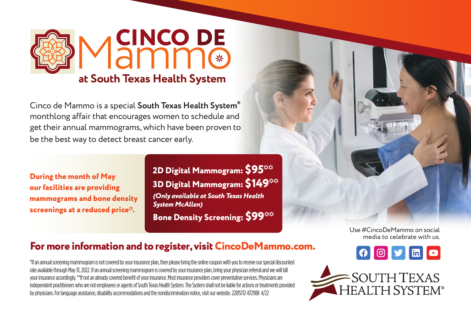

Cinco de Mammo is a special **South Texas Health System®** monthlong affair that encourages women to schedule and get their annual mammograms, which have been proven to be the best way to detect breast cancer early.

**During the month of May our facilities are providing mammograms and bone density screenings at a reduced price\*.**

**2D Digital Mammogram: \$95\*\* 3D Digital Mammogram: \$149\*\*** *(Only available at South Texas Health System McAllen)* **Bone Density Screening: \$99\*\*** 

> Use #CincoDeMammo on social media to celebrate with us. $\circ$   $\circ$   $\bullet$   $\circ$

## **For more information and to register, visit CincoDeMammo.com.**

\*If an annual screening mammogram is not covered by your insurance plan, then please bring the online coupon with you to receive our special discounted rate available through May 31, 2022. If an annual screening mammogram is covered by your insurance plan, bring your physician referral and we will bill your insurance accordingly. \*\*If not an already covered benefit of your insurance. Most insurance providers cover preventative services. Physicians are independent practitioners who are not employees or agents of South Texas Health System. The System shall not be liable for actions or treatments provided by physicians. For language assistance, disability accommodations and the nondiscrimination notice, visit our website. 22815712-872988 4/22